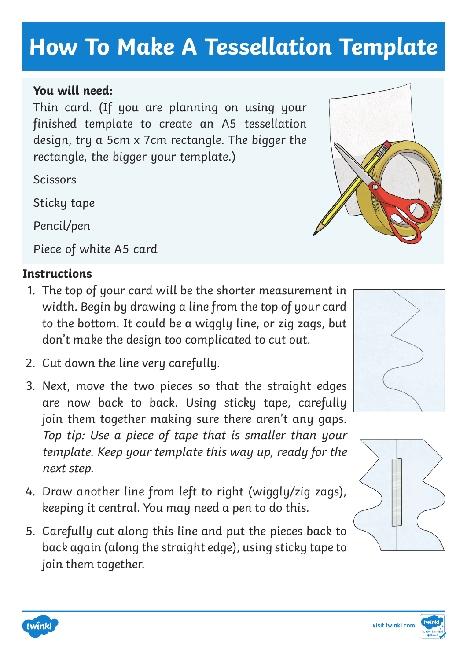

**How To Make A Tessellation Template** 

## **You will need:**

Thin card. (If you are planning on using your finished template to create an A5 tessellation design, try a 5cm x 7cm rectangle. The bigger the rectangle, the bigger your template.)

**Scissors** 

Sticky tape

Pencil/pen

Piece of white A5 card

## **Instructions**

- 1. The top of your card will be the shorter measurement in width. Begin by drawing a line from the top of your card to the bottom. It could be a wiggly line, or zig zags, but don't make the design too complicated to cut out.
- 2. Cut down the line very carefully.
- 3. Next, move the two pieces so that the straight edges are now back to back. Using sticky tape, carefully join them together making sure there aren't any gaps. Top tip: Use a piece of tape that is smaller than your template. Keep your template this way up, ready for the next step.
- 4. Draw another line from left to right (wiggly/zig zags), keeping it central. You may need a pen to do this.
- 5. Carefully cut along this line and put the pieces back to back again (along the straight edge), using sticky tape to join them together.









twinkl